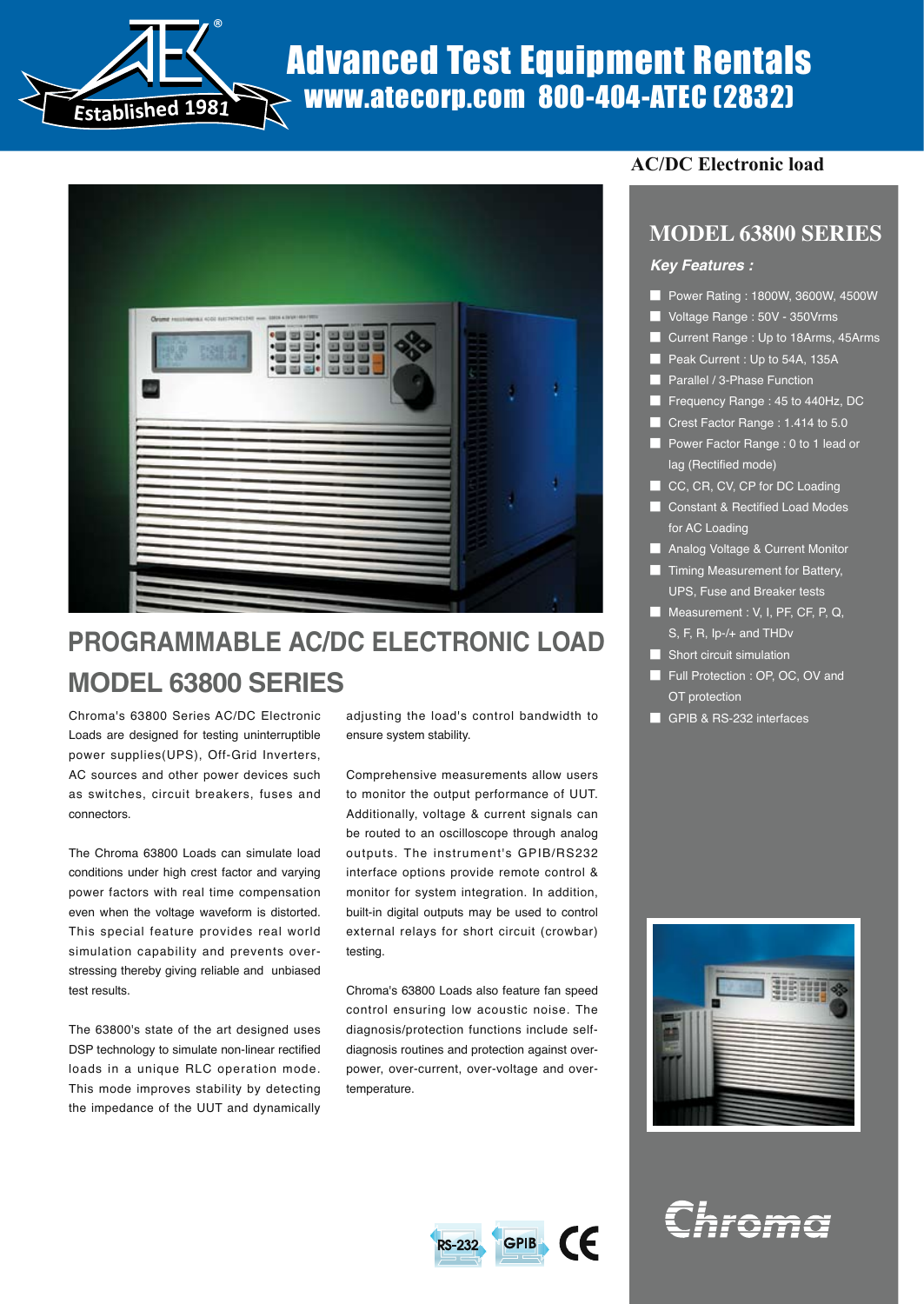

# Advanced Test Equipment Rentals www.atecorp.com 800-404-ATEC (2832)



## **PROGRAMMABLE AC/DC ELECTRONIC LOAD MODEL 63800 SERIES**

Chroma's 63800 Series AC/DC Electronic Loads are designed for testing uninterruptible power supplies(UPS), Off-Grid Inverters, AC sources and other power devices such as switches, circuit breakers, fuses and connectors.

The Chroma 63800 Loads can simulate load conditions under high crest factor and varying power factors with real time compensation even when the voltage waveform is distorted. This special feature provides real world simulation capability and prevents overstressing thereby giving reliable and unbiased test results.

The 63800's state of the art designed uses DSP technology to simulate non-linear rectified loads in a unique RLC operation mode. This mode improves stability by detecting the impedance of the UUT and dynamically adjusting the load's control bandwidth to ensure system stability.

Comprehensive measurements allow users to monitor the output performance of UUT. Additionally, voltage & current signals can be routed to an oscilloscope through analog outputs. The instrument's GPIB/RS232 interface options provide remote control & monitor for system integration. In addition, built-in digital outputs may be used to control external relays for short circuit (crowbar) testing.

Chroma's 63800 Loads also feature fan speed control ensuring low acoustic noise. The diagnosis/protection functions include selfdiagnosis routines and protection against overpower, over-current, over-voltage and overtemperature.

## **AC/DC Electronic load**

## **MODEL 63800 SERIES**

#### *Key Features :*

- Power Rating : 1800W, 3600W, 4500W
- **■** Voltage Range : 50V 350Vrms
- **■** Current Range : Up to 18Arms, 45Arms
- Peak Current : Up to 54A, 135A
- Parallel <u>/ 3-Phase Function</u>
- **■** Frequency Range : 45 to 440Hz, DC
- **■** Crest Factor Range : 1.414 to 5.0
- **■** Power Factor Range : 0 to 1 lead or lag (Rectified mode)
- CC, CR, CV, CP for DC Loading
- Constant & Rectified Load Modes for AC Loading
- Analog Voltage & Current Monitor
- Timing Measurement for Battery, UPS, Fuse and Breaker tests
- Measurement : V, I, PF, CF, P, Q, S, F, R, Ip-/+ and THDv
- Short circuit simulation
- Full Protection : OP, OC, OV and OT protection
- GPIB & RS-232 interfaces





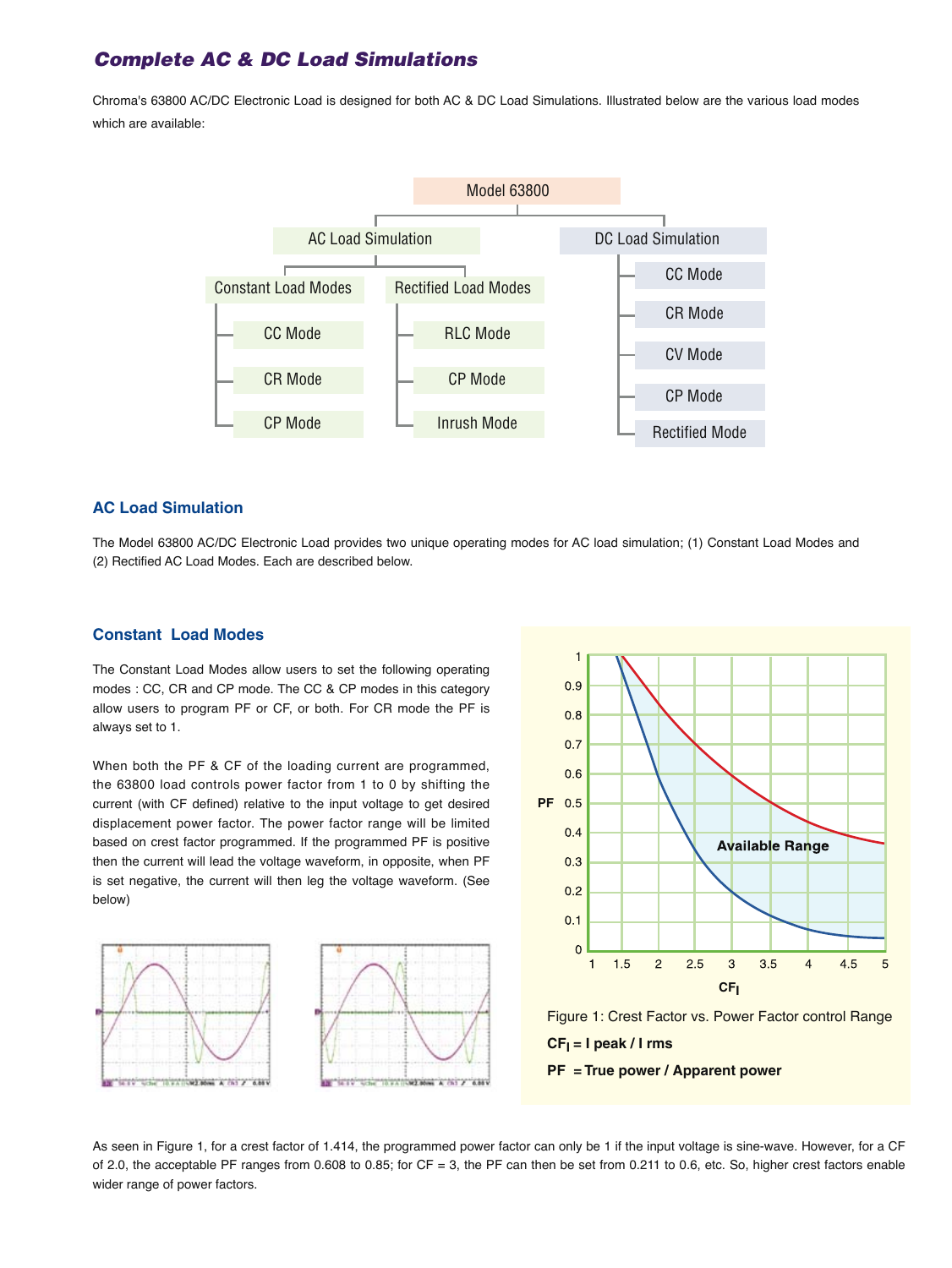## *Complete AC & DC Load Simulations*

Chroma's 63800 AC/DC Electronic Load is designed for both AC & DC Load Simulations. Illustrated below are the various load modes which are available:



#### **AC Load Simulation**

The Model 63800 AC/DC Electronic Load provides two unique operating modes for AC load simulation; (1) Constant Load Modes and (2) Rectified AC Load Modes. Each are described below.

#### **Constant Load Modes**

The Constant Load Modes allow users to set the following operating modes : CC, CR and CP mode. The CC & CP modes in this category allow users to program PF or CF, or both. For CR mode the PF is always set to 1.

When both the PF & CF of the loading current are programmed, the 63800 load controls power factor from 1 to 0 by shifting the current (with CF defined) relative to the input voltage to get desired displacement power factor. The power factor range will be limited based on crest factor programmed. If the programmed PF is positive then the current will lead the voltage waveform, in opposite, when PF is set negative, the current will then leg the voltage waveform. (See below)









As seen in Figure 1, for a crest factor of 1.414, the programmed power factor can only be 1 if the input voltage is sine-wave. However, for a CF of 2.0, the acceptable PF ranges from 0.608 to 0.85; for CF = 3, the PF can then be set from 0.211 to 0.6, etc. So, higher crest factors enable wider range of power factors.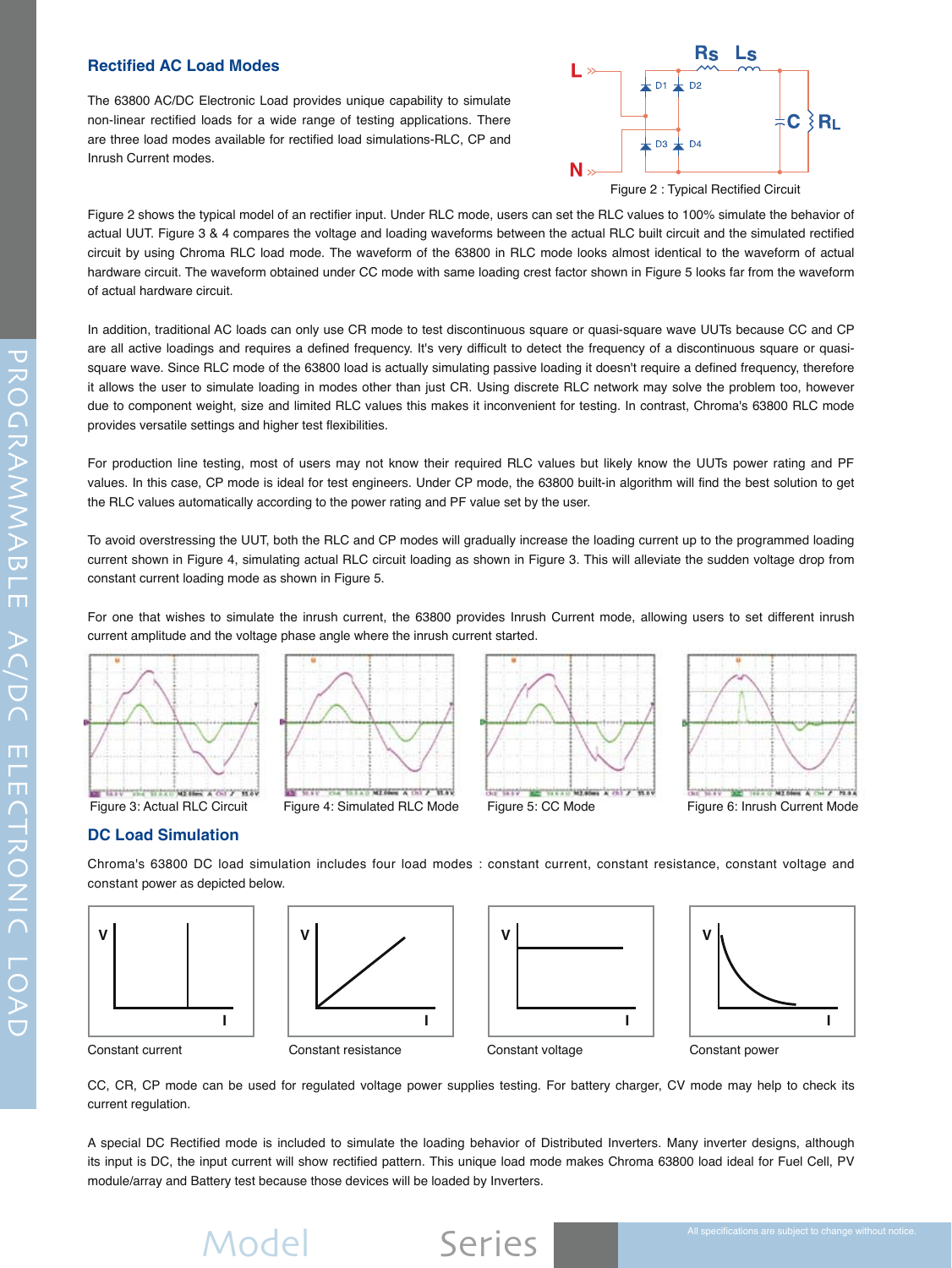#### **Rectified AC Load Modes**

The 63800 AC/DC Electronic Load provides unique capability to simulate non-linear rectified loads for a wide range of testing applications. There are three load modes available for rectified load simulations-RLC, CP and Inrush Current modes.



Figure 2 : Typical Rectified Circuit

Figure 2 shows the typical model of an rectifier input. Under RLC mode, users can set the RLC values to 100% simulate the behavior of actual UUT. Figure 3 & 4 compares the voltage and loading waveforms between the actual RLC built circuit and the simulated rectified circuit by using Chroma RLC load mode. The waveform of the 63800 in RLC mode looks almost identical to the waveform of actual hardware circuit. The waveform obtained under CC mode with same loading crest factor shown in Figure 5 looks far from the waveform of actual hardware circuit.

In addition, traditional AC loads can only use CR mode to test discontinuous square or quasi-square wave UUTs because CC and CP are all active loadings and requires a defined frequency. It's very difficult to detect the frequency of a discontinuous square or quasisquare wave. Since RLC mode of the 63800 load is actually simulating passive loading it doesn't require a defined frequency, therefore it allows the user to simulate loading in modes other than just CR. Using discrete RLC network may solve the problem too, however due to component weight, size and limited RLC values this makes it inconvenient for testing. In contrast, Chroma's 63800 RLC mode provides versatile settings and higher test flexibilities.

For production line testing, most of users may not know their required RLC values but likely know the UUTs power rating and PF values. In this case, CP mode is ideal for test engineers. Under CP mode, the 63800 built-in algorithm will find the best solution to get the RLC values automatically according to the power rating and PF value set by the user.

To avoid overstressing the UUT, both the RLC and CP modes will gradually increase the loading current up to the programmed loading current shown in Figure 4, simulating actual RLC circuit loading as shown in Figure 3. This will alleviate the sudden voltage drop from constant current loading mode as shown in Figure 5.

For one that wishes to simulate the inrush current, the 63800 provides Inrush Current mode, allowing users to set different inrush current amplitude and the voltage phase angle where the inrush current started.



Figure 3: Actual RLC Circuit Figure 4: Simulated RLC Mode Figure 5: CC Mode Figure 6: Inrush Current Mode

#### **DC Load Simulation**

Chroma's 63800 DC load simulation includes four load modes : constant current, constant resistance, constant voltage and constant power as depicted below.

![](_page_2_Figure_13.jpeg)

![](_page_2_Figure_14.jpeg)

**DE BEAT NEWS A DO 7 BAY** 

![](_page_2_Figure_15.jpeg)

continued the material assessed a real of

**WAY** 

![](_page_2_Figure_16.jpeg)

The Control of the Control of the Control of the Control of the Control of the Control of the Control of the Co

Constant current Constant resistance Constant voltage Constant power

CC, CR, CP mode can be used for regulated voltage power supplies testing. For battery charger, CV mode may help to check its current regulation.

A special DC Rectified mode is included to simulate the loading behavior of Distributed Inverters. Many inverter designs, although its input is DC, the input current will show rectified pattern. This unique load mode makes Chroma 63800 load ideal for Fuel Cell, PV module/array and Battery test because those devices will be loaded by Inverters.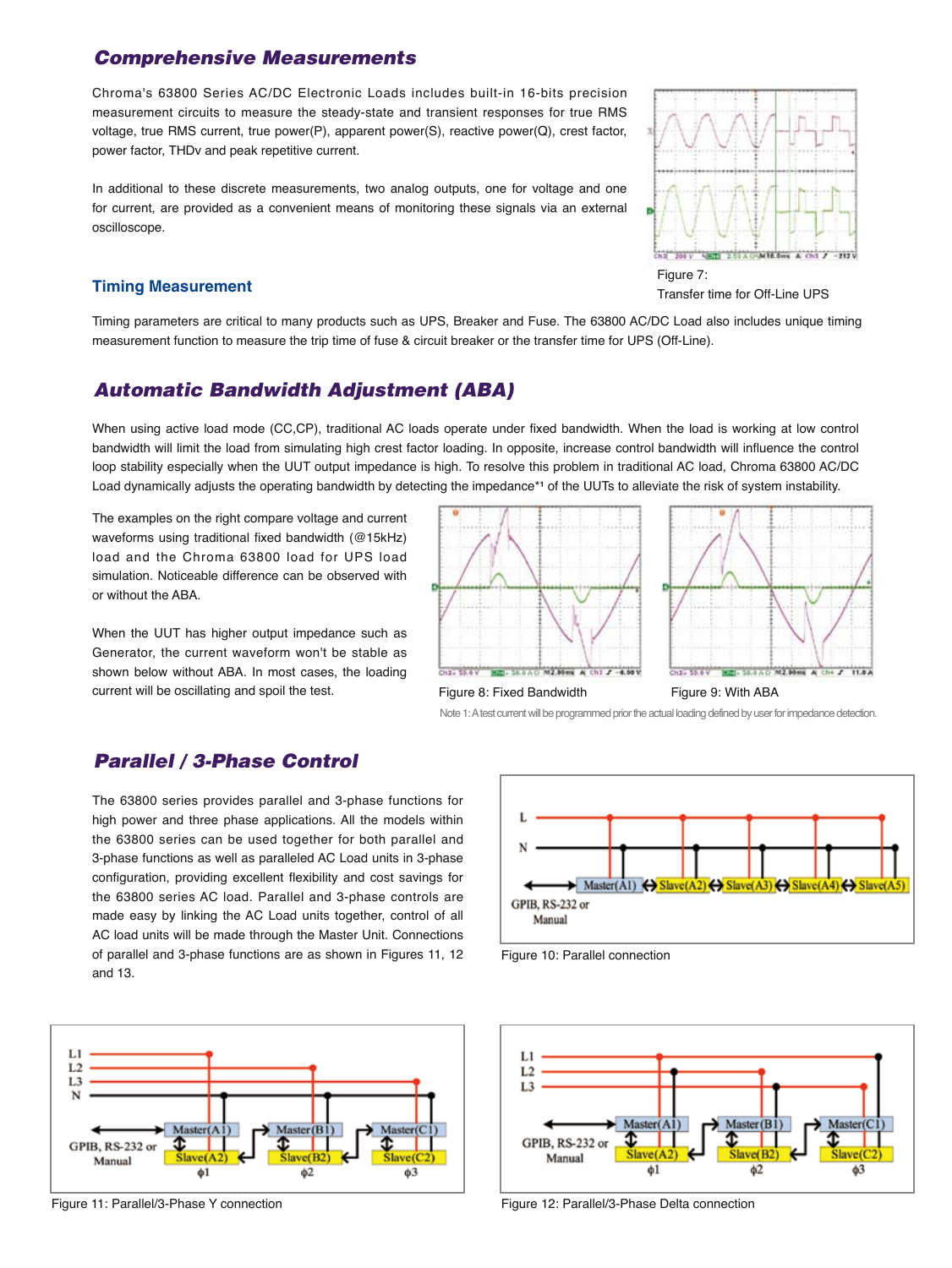## *Comprehensive Measurements*

Chroma's 63800 Series AC/DC Electronic Loads includes built-in 16-bits precision measurement circuits to measure the steady-state and transient responses for true RMS voltage, true RMS current, true power(P), apparent power(S), reactive power(Q), crest factor, power factor, THDv and peak repetitive current.

In additional to these discrete measurements, two analog outputs, one for voltage and one for current, are provided as a convenient means of monitoring these signals via an external oscilloscope.

#### **Timing Measurement**

![](_page_3_Figure_4.jpeg)

Transfer time for Off-Line UPS

Timing parameters are critical to many products such as UPS, Breaker and Fuse. The 63800 AC/DC Load also includes unique timing measurement function to measure the trip time of fuse & circuit breaker or the transfer time for UPS (Off-Line).

#### *Automatic Bandwidth Adjustment (ABA)*

When using active load mode (CC,CP), traditional AC loads operate under fixed bandwidth. When the load is working at low control bandwidth will limit the load from simulating high crest factor loading. In opposite, increase control bandwidth will influence the control loop stability especially when the UUT output impedance is high. To resolve this problem in traditional AC load, Chroma 63800 AC/DC Load dynamically adjusts the operating bandwidth by detecting the impedance\*1 of the UUTs to alleviate the risk of system instability.

The examples on the right compare voltage and current waveforms using traditional fixed bandwidth (@15kHz) load and the Chroma 63800 load for UPS load simulation. Noticeable difference can be observed with or without the ABA.

When the UUT has higher output impedance such as Generator, the current waveform won't be stable as shown below without ABA. In most cases, the loading current will be oscillating and spoil the test.

![](_page_3_Figure_11.jpeg)

![](_page_3_Figure_12.jpeg)

#### Figure 8: Fixed Bandwidth Figure 9: With ABA

Note 1: A test current will be programmed prior the actual loading defined by user for impedance detection.

## *Parallel / 3-Phase Control*

The 63800 series provides parallel and 3-phase functions for high power and three phase applications. All the models within the 63800 series can be used together for both parallel and 3-phase functions as well as paralleled AC Load units in 3-phase configuration, providing excellent flexibility and cost savings for the 63800 series AC load. Parallel and 3-phase controls are made easy by linking the AC Load units together, control of all AC load units will be made through the Master Unit. Connections of parallel and 3-phase functions are as shown in Figures 11, 12 and 13.

![](_page_3_Figure_17.jpeg)

![](_page_3_Figure_19.jpeg)

Figure 10: Parallel connection

![](_page_3_Figure_21.jpeg)

Figure 11: Parallel/3-Phase Y connection Figure 12: Parallel/3-Phase Delta connection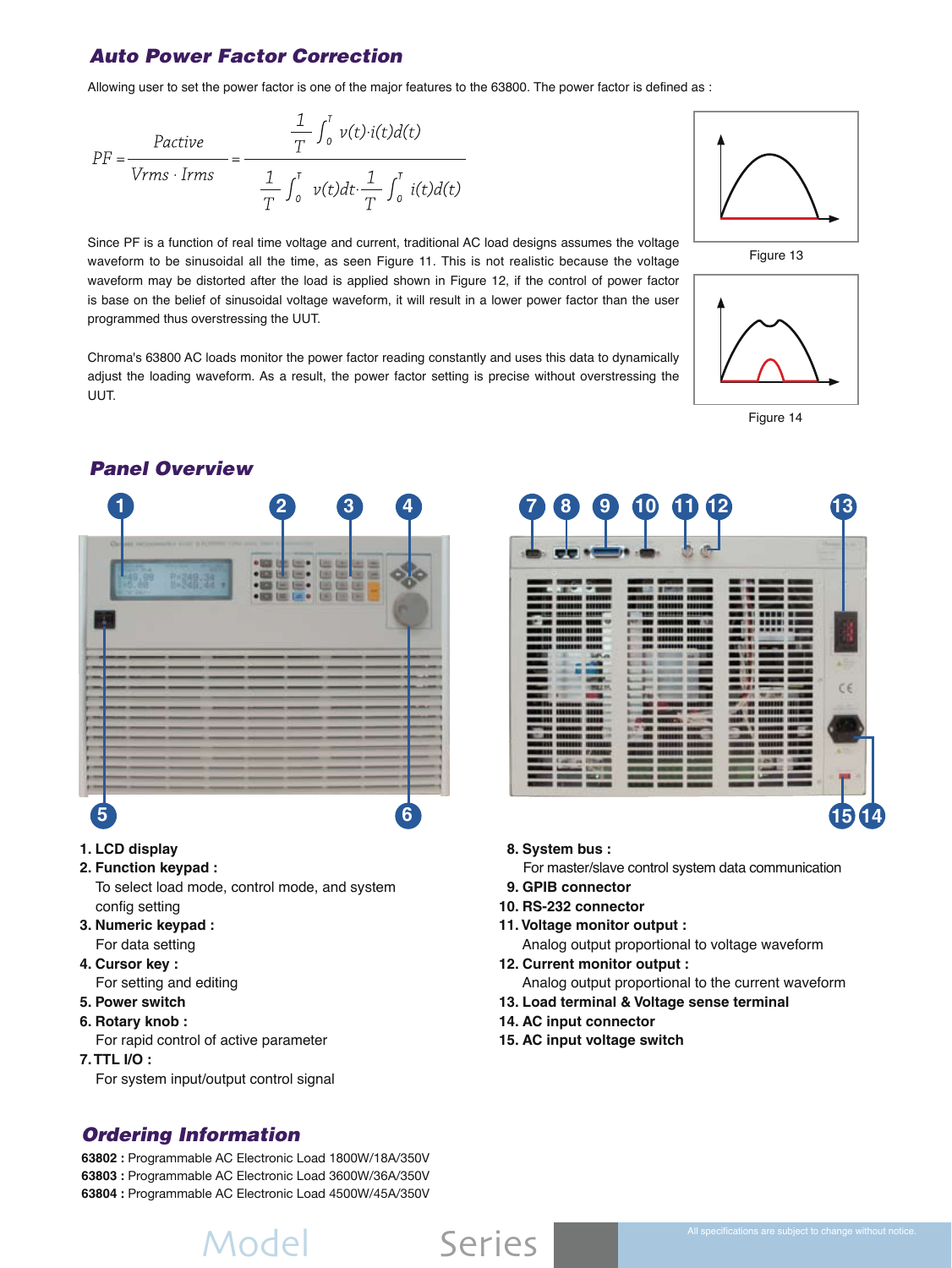## *Auto Power Factor Correction*

Allowing user to set the power factor is one of the major features to the 63800. The power factor is defined as :

$$
PF = \frac{Pactive}{Vrms \cdot Irms} = \frac{\frac{1}{T} \int_0^T v(t) \cdot i(t) d(t)}{\frac{1}{T} \int_0^T v(t) dt \cdot \frac{1}{T} \int_0^T i(t) d(t)}
$$

Since PF is a function of real time voltage and current, traditional AC load designs assumes the voltage waveform to be sinusoidal all the time, as seen Figure 11. This is not realistic because the voltage waveform may be distorted after the load is applied shown in Figure 12, if the control of power factor is base on the belief of sinusoidal voltage waveform, it will result in a lower power factor than the user programmed thus overstressing the UUT.

Chroma's 63800 AC loads monitor the power factor reading constantly and uses this data to dynamically adjust the loading waveform. As a result, the power factor setting is precise without overstressing the UUT.

![](_page_4_Figure_6.jpeg)

Figure 14

![](_page_4_Picture_8.jpeg)

![](_page_4_Picture_9.jpeg)

#### **1. LCD display**

- **2. Function keypad :**
	- To select load mode, control mode, and system config setting
- **3. Numeric keypad :**  For data setting
- **4. Cursor key :** For setting and editing
- **5. Power switch**
- **6. Rotary knob :**

For rapid control of active parameter

**7. TTL I/O :**

For system input/output control signal

## *Ordering Information*

**63802 :** Programmable AC Electronic Load 1800W/18A/350V **63803 :** Programmable AC Electronic Load 3600W/36A/350V **63804 :** Programmable AC Electronic Load 4500W/45A/350V

| $\mathbf{g}$<br>8                                 | $10 \t{1}12$ | 13      |
|---------------------------------------------------|--------------|---------|
| Lod                                               |              |         |
| m<br>mu<br>,,,,,,,,<br><b><i>UNISHER</i></b><br>m |              |         |
| 机双                                                |              | CE      |
| .                                                 |              |         |
|                                                   |              |         |
|                                                   |              | 4<br>15 |

- **8. System bus :**
- For master/slave control system data communication
- **9. GPIB connector**
- **10. RS-232 connector**
- **11. Voltage monitor output :**
	- Analog output proportional to voltage waveform
- **12. Current monitor output :** Analog output proportional to the current waveform
- **13. Load terminal & Voltage sense terminal**
- **14. AC input connector**
- **15. AC input voltage switch**

# Model 63800 Series